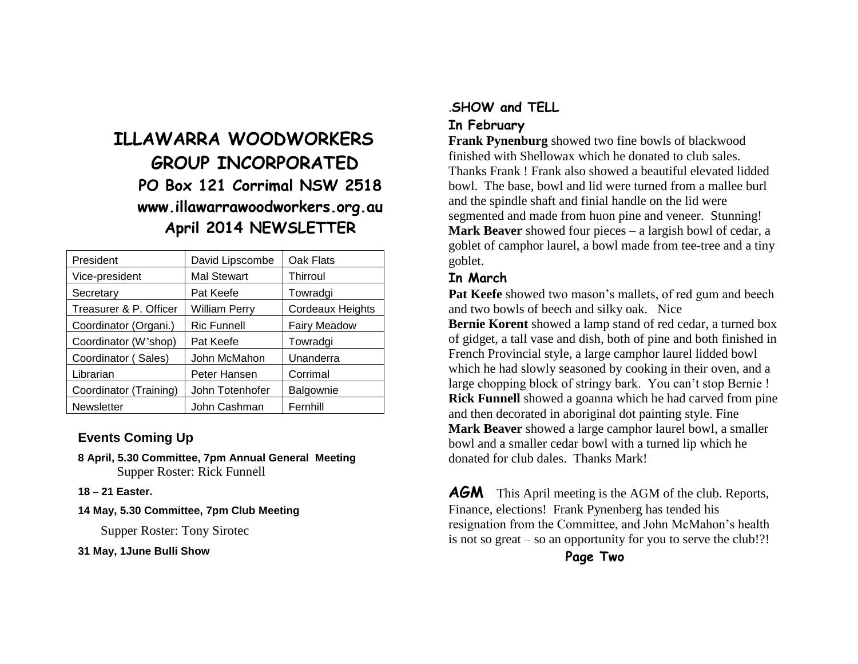# **ILLAWARRA WOODWORKERS GROUP INCORPORATED PO Box 121 Corrimal NSW 2518 www.illawarrawoodworkers.org.au April 2014 NEWSLETTER**

| President              | David Lipscombe      | Oak Flats               |
|------------------------|----------------------|-------------------------|
| Vice-president         | <b>Mal Stewart</b>   | Thirroul                |
| Secretary              | Pat Keefe            | Towradgi                |
| Treasurer & P. Officer | <b>William Perry</b> | <b>Cordeaux Heights</b> |
| Coordinator (Organi.)  | <b>Ric Funnell</b>   | <b>Fairy Meadow</b>     |
| Coordinator (W'shop)   | Pat Keefe            | Towradgi                |
| Coordinator (Sales)    | John McMahon         | Unanderra               |
| Librarian              | Peter Hansen         | Corrimal                |
| Coordinator (Training) | John Totenhofer      | Balgownie               |
| <b>Newsletter</b>      | John Cashman         | Fernhill                |

#### **Events Coming Up**

- **8 April, 5.30 Committee, 7pm Annual General Meeting** Supper Roster: Rick Funnell
- **18 – 21 Easter.**
- **14 May, 5.30 Committee, 7pm Club Meeting**

Supper Roster: Tony Sirotec

**31 May, 1June Bulli Show**

# .**SHOW and TELL**

### **In February**

**Frank Pynenburg** showed two fine bowls of blackwood finished with Shellowax which he donated to club sales. Thanks Frank ! Frank also showed a beautiful elevated lidded bowl. The base, bowl and lid were turned from a mallee burl and the spindle shaft and finial handle on the lid were segmented and made from huon pine and veneer. Stunning! **Mark Beaver** showed four pieces – a largish bowl of cedar, a goblet of camphor laurel, a bowl made from tee-tree and a tiny goblet.

#### **In March**

Pat Keefe showed two mason's mallets, of red gum and beech and two bowls of beech and silky oak. Nice

**Bernie Korent** showed a lamp stand of red cedar, a turned box of gidget, a tall vase and dish, both of pine and both finished in French Provincial style, a large camphor laurel lidded bowl which he had slowly seasoned by cooking in their oven, and a large chopping block of stringy bark. You can't stop Bernie ! **Rick Funnell** showed a goanna which he had carved from pine and then decorated in aboriginal dot painting style. Fine **Mark Beaver** showed a large camphor laurel bowl, a smaller bowl and a smaller cedar bowl with a turned lip which he donated for club dales. Thanks Mark!

**AGM** This April meeting is the AGM of the club. Reports, Finance, elections! Frank Pynenberg has tended his resignation from the Committee, and John McMahon's health is not so great – so an opportunity for you to serve the club!?!

**Page Two**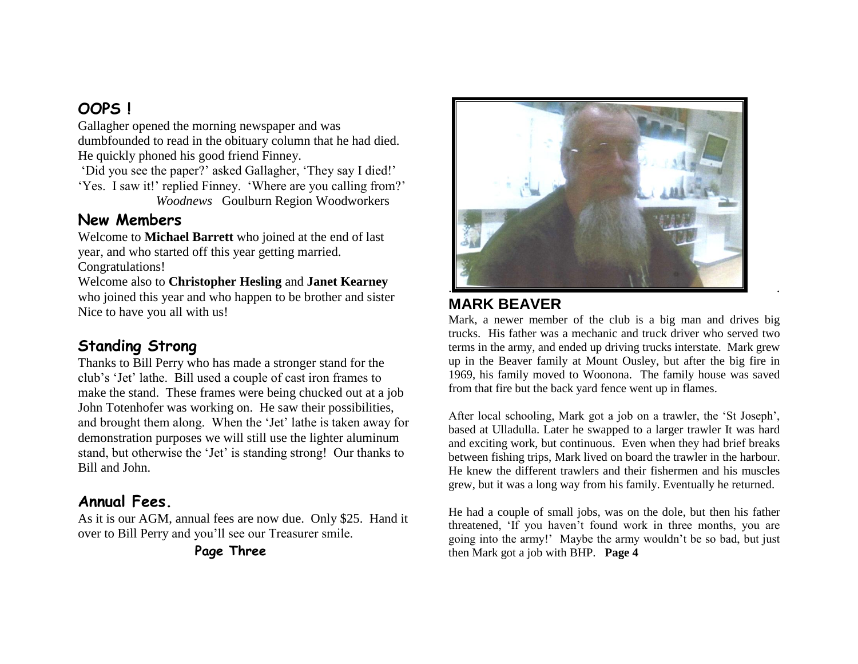## **OOPS !**

Gallagher opened the morning newspaper and was dumbfounded to read in the obituary column that he had died. He quickly phoned his good friend Finney.

'Did you see the paper?' asked Gallagher, 'They say I died!' 'Yes. I saw it!' replied Finney. 'Where are you calling from?' *Woodnews* Goulburn Region Woodworkers

## **New Members**

Welcome to **Michael Barrett** who joined at the end of last year, and who started off this year getting married. Congratulations!

Welcome also to **Christopher Hesling** and **Janet Kearney** who joined this year and who happen to be brother and sister Nice to have you all with us!

# **Standing Strong**

Thanks to Bill Perry who has made a stronger stand for the club's 'Jet' lathe. Bill used a couple of cast iron frames to make the stand. These frames were being chucked out at a job John Totenhofer was working on. He saw their possibilities, and brought them along. When the 'Jet' lathe is taken away for demonstration purposes we will still use the lighter aluminum stand, but otherwise the 'Jet' is standing strong! Our thanks to Bill and John.

## **Annual Fees.**

As it is our AGM, annual fees are now due. Only \$25. Hand it over to Bill Perry and you'll see our Treasurer smile.

**Page Three**



## **MARK BEAVER**

Mark, a newer member of the club is a big man and drives big trucks. His father was a mechanic and truck driver who served two terms in the army, and ended up driving trucks interstate. Mark grew up in the Beaver family at Mount Ousley, but after the big fire in 1969, his family moved to Woonona. The family house was saved from that fire but the back yard fence went up in flames.

After local schooling, Mark got a job on a trawler, the 'St Joseph', based at Ulladulla. Later he swapped to a larger trawler It was hard and exciting work, but continuous. Even when they had brief breaks between fishing trips, Mark lived on board the trawler in the harbour. He knew the different trawlers and their fishermen and his muscles grew, but it was a long way from his family. Eventually he returned.

He had a couple of small jobs, was on the dole, but then his father threatened, 'If you haven't found work in three months, you are going into the army!' Maybe the army wouldn't be so bad, but just then Mark got a job with BHP. **Page 4**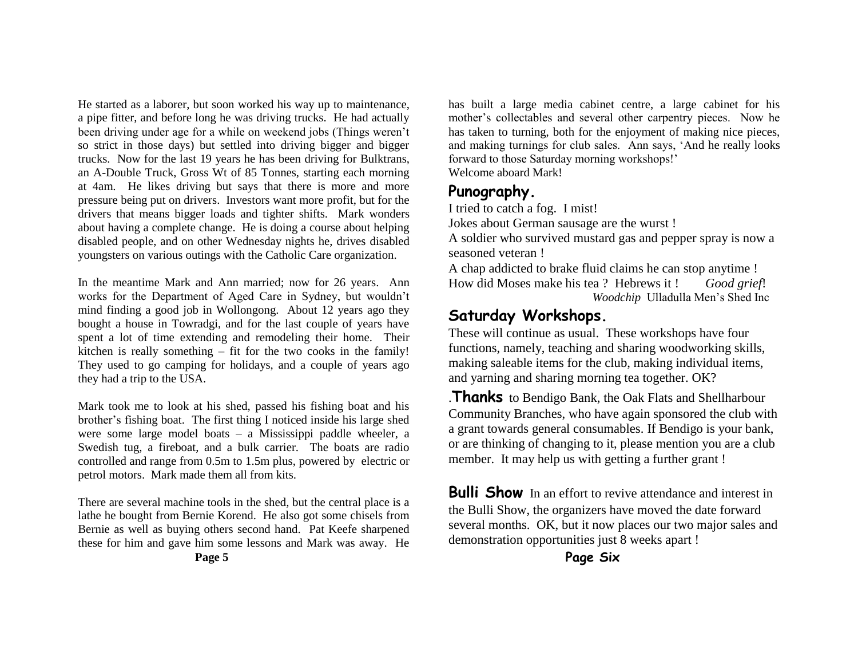He started as a laborer, but soon worked his way up to maintenance, a pipe fitter, and before long he was driving trucks. He had actually been driving under age for a while on weekend jobs (Things weren't so strict in those days) but settled into driving bigger and bigger trucks. Now for the last 19 years he has been driving for Bulktrans, an A-Double Truck, Gross Wt of 85 Tonnes, starting each morning at 4am. He likes driving but says that there is more and more pressure being put on drivers. Investors want more profit, but for the drivers that means bigger loads and tighter shifts. Mark wonders about having a complete change. He is doing a course about helping disabled people, and on other Wednesday nights he, drives disabled youngsters on various outings with the Catholic Care organization.

In the meantime Mark and Ann married; now for 26 years. Ann works for the Department of Aged Care in Sydney, but wouldn't mind finding a good job in Wollongong. About 12 years ago they bought a house in Towradgi, and for the last couple of years have spent a lot of time extending and remodeling their home. Their kitchen is really something – fit for the two cooks in the family! They used to go camping for holidays, and a couple of years ago they had a trip to the USA.

Mark took me to look at his shed, passed his fishing boat and his brother's fishing boat. The first thing I noticed inside his large shed were some large model boats – a Mississippi paddle wheeler, a Swedish tug, a fireboat, and a bulk carrier. The boats are radio controlled and range from 0.5m to 1.5m plus, powered by electric or petrol motors. Mark made them all from kits.

There are several machine tools in the shed, but the central place is a lathe he bought from Bernie Korend. He also got some chisels from Bernie as well as buying others second hand. Pat Keefe sharpened these for him and gave him some lessons and Mark was away. He **Page 5**

has built a large media cabinet centre, a large cabinet for his mother's collectables and several other carpentry pieces. Now he has taken to turning, both for the enjoyment of making nice pieces, and making turnings for club sales. Ann says, 'And he really looks forward to those Saturday morning workshops!' Welcome aboard Mark!

#### **Punography.**

I tried to catch a fog. I mist!

Jokes about German sausage are the wurst !

A soldier who survived mustard gas and pepper spray is now a seasoned veteran !

A chap addicted to brake fluid claims he can stop anytime ! How did Moses make his tea ? Hebrews it ! *Good grief*!  *Woodchip* Ulladulla Men's Shed Inc

### **Saturday Workshops.**

These will continue as usual. These workshops have four functions, namely, teaching and sharing woodworking skills, making saleable items for the club, making individual items, and yarning and sharing morning tea together. OK?

.**Thanks** to Bendigo Bank, the Oak Flats and Shellharbour Community Branches, who have again sponsored the club with a grant towards general consumables. If Bendigo is your bank, or are thinking of changing to it, please mention you are a club member. It may help us with getting a further grant !

**Bulli Show** In an effort to revive attendance and interest in the Bulli Show, the organizers have moved the date forward several months. OK, but it now places our two major sales and demonstration opportunities just 8 weeks apart !

**Page Six**